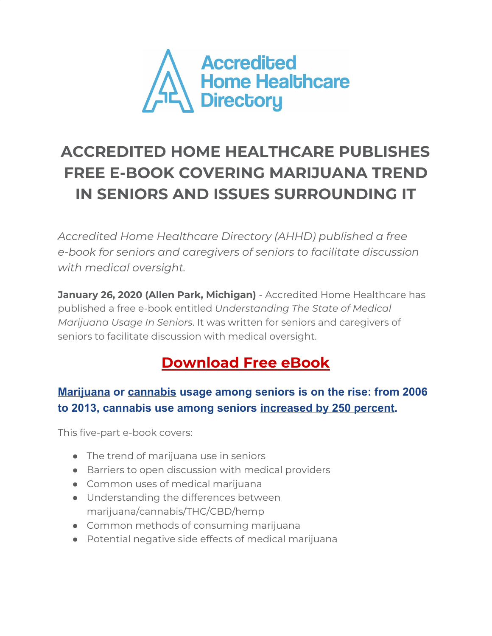

## **ACCREDITED HOME HEALTHCARE PUBLISHES FREE E-BOOK COVERING MARIJUANA TREND IN SENIORS AND ISSUES SURROUNDING IT**

*Accredited Home Healthcare Directory (AHHD) published a free e-book for seniors and caregivers of seniors to facilitate discussion with medical oversight.*

**January 26, 2020 (Allen Park, Michigan)** - Accredited Home Healthcare has published a free e-book entitled *Understanding The State of Medical Marijuana Usage In Seniors*. It was written for seniors and caregivers of seniors to facilitate discussion with medical oversight.

## **[Download](https://5bdf0c0f-7a6f-45e4-aac5-72ff30a9a102.usrfiles.com/ugd/5bdf0c_3bcae7f7b554448cab4df3e94952c4ea.pdf) Free eBook**

## **Marijuana or cannabis usage among seniors is on the rise: from 2006 to 2013, cannabis use among seniors increased by 250 percent.**

This five-part e-book covers:

- The trend of marijuana use in seniors
- Barriers to open discussion with medical providers
- Common uses of medical marijuana
- Understanding the differences between marijuana/cannabis/THC/CBD/hemp
- Common methods of consuming marijuana
- Potential negative side effects of medical marijuana